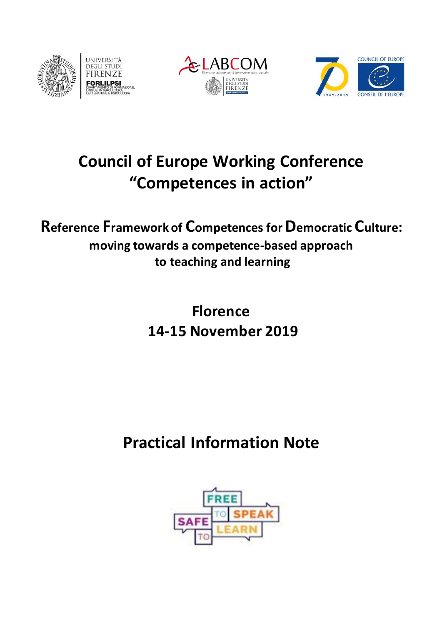





# **Council of Europe Working Conference "Competences in action"**

**Reference Framework of Competences for Democratic Culture: moving towards a competence-based approach to teaching and learning**

> **Florence 14-15 November 2019**

**Practical Information Note**

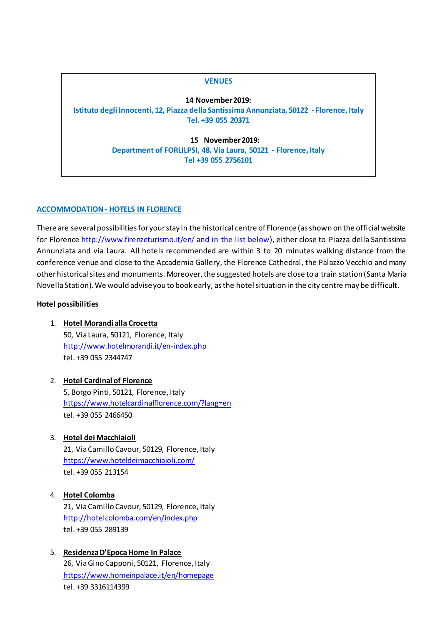#### **VENUES**

**14 November 2019: Istituto degli Innocenti, 12, Piazza della Santissima Annunziata, 50122 - Florence, Italy Tel. +39 055 20371**

> **15 November 2019: Department of FORLILPSI, 48, Via Laura, 50121 - Florence, Italy Tel +39 055 2756101**

## **ACCOMMODATION - HOTELS IN FLORENCE**

There are several possibilities for your stay in the historical centre of Florence (as shown on the official website for Florence<http://www.firenzeturismo.it/en/> and in the list below), either close to Piazza della Santissima Annunziata and via Laura. All hotels recommended are within 3 to 20 minutes walking distance from the conference venue and close to the Accademia Gallery, the Florence Cathedral, the Palazzo Vecchio and many other historical sites and monuments. Moreover, the suggested hotels are close to a train station (Santa Maria Novella Station). We would advise you to book early, as the hotel situation in the city centre may be difficult.

#### **Hotel possibilities**

- 1. **Hotel Morandi alla Crocetta** 50, Via Laura, 50121, Florence, Italy <http://www.hotelmorandi.it/en-index.php> tel. +39 055 2344747
- 2. **Hotel Cardinal of Florence** 5, Borgo Pinti, 50121, Florence, Italy <https://www.hotelcardinalflorence.com/?lang=en> tel. +39 055 2466450
- 3. **Hotel dei Macchiaioli**

21, Via Camillo Cavour, 50129, Florence, Italy <https://www.hoteldeimacchiaioli.com/> tel. +39 055 213154

4. **Hotel Colomba**

21, Via Camillo Cavour, 50129, Florence, Italy <http://hotelcolomba.com/en/index.php> tel. +39 055 289139

#### 5. **Residenza D'Epoca Home In Palace**

26, Via Gino Capponi, 50121, Florence, Italy <https://www.homeinpalace.it/en/homepage> tel. +39 3316114399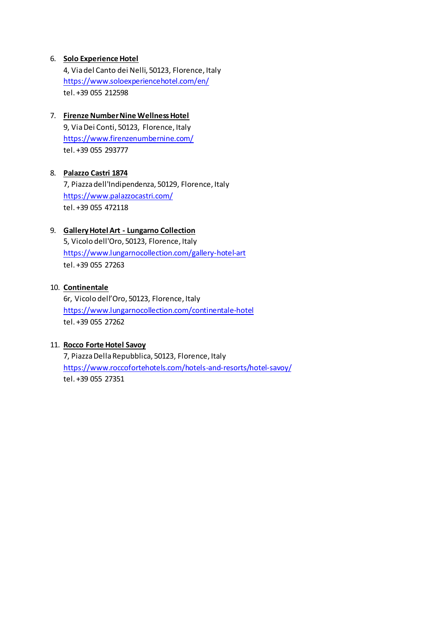# 6. **Solo Experience Hotel**

4, Via del Canto dei Nelli, 50123, Florence, Italy <https://www.soloexperiencehotel.com/en/> tel. +39 055 212598

# 7. **Firenze Number Nine Wellness Hotel**

9, Via Dei Conti, 50123, Florence, Italy <https://www.firenzenumbernine.com/> tel. +39 055 293777

# 8. **Palazzo Castri 1874**

7, Piazza dell'Indipendenza, 50129, Florence, Italy <https://www.palazzocastri.com/> tel. +39 055 472118

# 9. **Gallery Hotel Art - Lungarno Collection**

5, Vicolo dell'Oro, 50123, Florence, Italy <https://www.lungarnocollection.com/gallery-hotel-art> tel. +39 055 27263

# 10. **Continentale**

6r, Vicolo dell'Oro, 50123, Florence, Italy <https://www.lungarnocollection.com/continentale-hotel> tel. +39 055 27262

# 11. **Rocco Forte Hotel Savoy**

7, Piazza Della Repubblica, 50123, Florence, Italy <https://www.roccofortehotels.com/hotels-and-resorts/hotel-savoy/> tel. +39 055 27351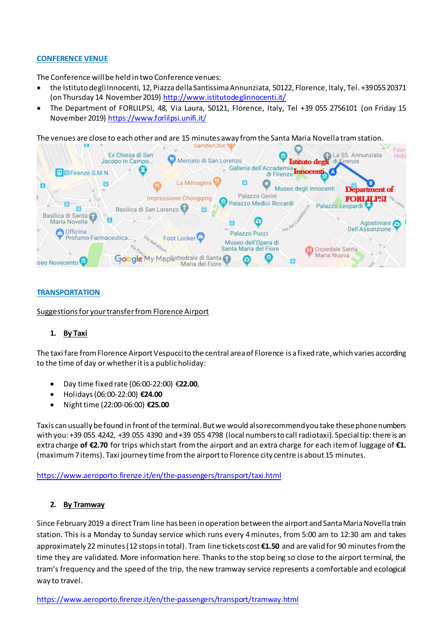# **CONFERENCE VENUE**

The Conference will be held in two Conference venues:

- the Istituto degli Innocenti, 12, Piazza della Santissima Annunziata, 50122, Florence, Italy, Tel. +39 055 20371 (on Thursday 14 November 2019) <http://www.istitutodeglinnocenti.it/>
- The Department of FORLILPSI, 48, Via Laura, 50121, Florence, Italy, Tel +39 055 2756101 (on Friday 15 November 2019) <https://www.forlilpsi.unifi.it/>

The venues are close to each other and are 15 minutes away from the Santa Maria Novella tram station.



## **TRANSPORTATION**

#### Suggestions for your transfer from Florence Airport

# **1. By Taxi**

The taxi fare from Florence Airport Vespucci to the central area of Florence is a fixed rate, which varies according to the time of day or whether it is a public holiday:

- Day time fixed rate (06:00-22:00) €**22.00**,
- Holidays(06:00-22:00) **€24.00**
- Night time (22:00-06:00) **€25.00**

Taxis can usually be found in front of the terminal. But we would also recommend you take these phone numbers with you: +39 055 4242, +39 055 4390 and +39 055 4798 (local numbers to call radiotaxi). Special tip: there is an extra charge **of €2.70** for trips which start from the airport and an extra charge for each item of luggage of **€1.** (maximum 7items). Taxi journey time from the airport to Florence city centre is about 15 minutes.

<https://www.aeroporto.firenze.it/en/the-passengers/transport/taxi.html>

# **2. By Tramway**

Since February 2019 a direct Tram line has been in operation between the airport and Santa Maria Novella train station. This is a Monday to Sunday service which runs every 4 minutes, from 5:00 am to 12:30 am and takes approximately 22 minutes (12 stops in total). Tram line tickets cost **€1.50** and are valid for 90 minutes from the time they are validated. More information here. Thanks to the stop being so close to the airport terminal, the tram's frequency and the speed of the trip, the new tramway service represents a comfortable and ecological way to travel.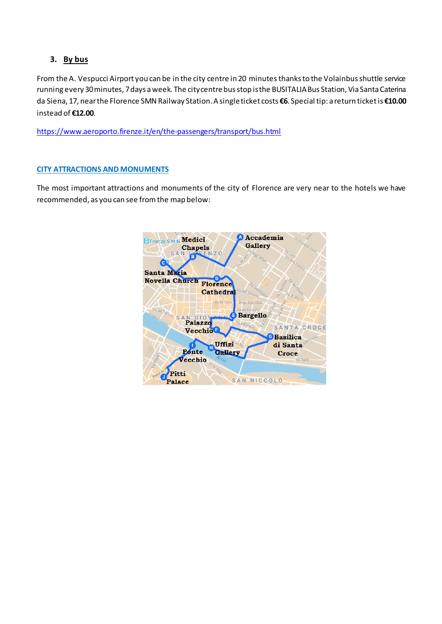# **3. By bus**

From the A. Vespucci Airport you can be in the city centre in 20 minutes thanks to the Volainbus shuttle service running every 30 minutes, 7 days a week. The city centre bus stop is the BUSITALIA Bus Station, Via Santa Caterina da Siena, 17, nearthe Florence SMN Railway Station. A single ticket costs **€6**. Special tip: a return ticketis **€10.00** instead of **€12.00**.

<https://www.aeroporto.firenze.it/en/the-passengers/transport/bus.html>

# **CITY ATTRACTIONS AND MONUMENTS**

The most important attractions and monuments of the city of Florence are very near to the hotels we have recommended, as you can see from the map below:

| <b>El Firenze S.M.N. Medici</b><br><b>Chapels</b><br><b>SAN</b><br>RENZO | Accademia<br><b>Gallery</b><br><b>DE GRISLI</b><br>degli Alfan |
|--------------------------------------------------------------------------|----------------------------------------------------------------|
| <b>C</b><br>Santa Maria                                                  |                                                                |
| <b>Novella Church</b><br>Florence                                        |                                                                |
| Via datr<br><b>Cathedral</b>                                             |                                                                |
| Via del Corso                                                            | Bergo degli Albizi                                             |
| Via del Parione<br>SAN<br>G-l                                            | Via del Pandolfini<br><b>Bargello</b>                          |
| Palazzo<br>Vecchio                                                       | Via dell'Angui<br>SANTA CROCI                                  |
|                                                                          | <sup>6</sup> Basilica                                          |
| Uffizi                                                                   | di Santa                                                       |
| Ponte<br>Gallery                                                         | Croce                                                          |
| Viantagao<br>Vecchio<br><b>Irno</b>                                      | Via Tripoli                                                    |
| Plazza de<br>Pitti                                                       |                                                                |
| Palace                                                                   | SAN NICCOLO                                                    |